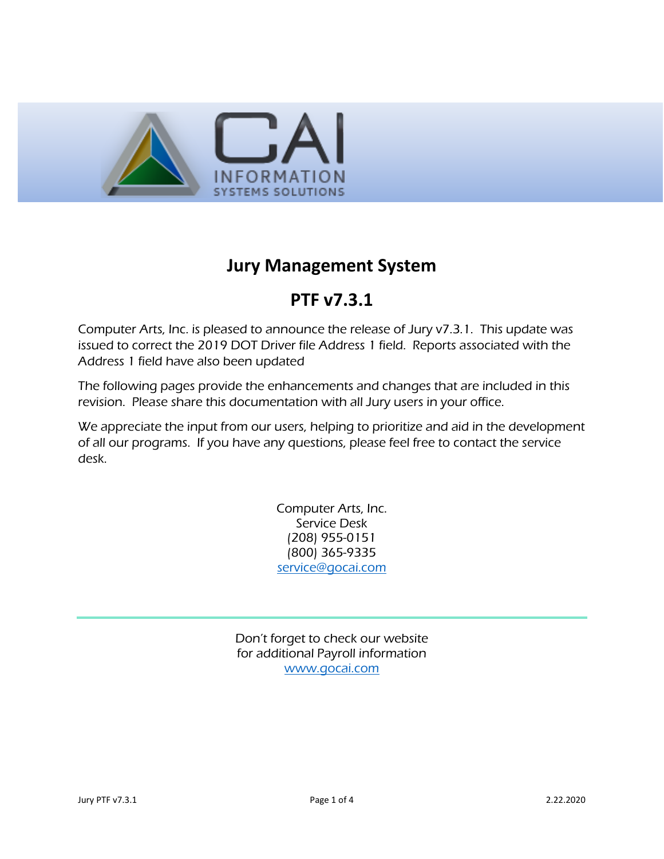

## **Jury Management System**

## **PTF v7.3.1**

Computer Arts, Inc. is pleased to announce the release of Jury v7.3.1. This update was issued to correct the 2019 DOT Driver file Address 1 field. Reports associated with the Address 1 field have also been updated

The following pages provide the enhancements and changes that are included in this revision. Please share this documentation with all Jury users in your office.

We appreciate the input from our users, helping to prioritize and aid in the development of all our programs. If you have any questions, please feel free to contact the service desk.

> Computer Arts, Inc. Service Desk (208) 955-0151 (800) 365-9335 [service@gocai.com](mailto:service@gocai.com)

Don't forget to check our website for additional Payroll information [www.gocai.com](http://www.gocai.com/)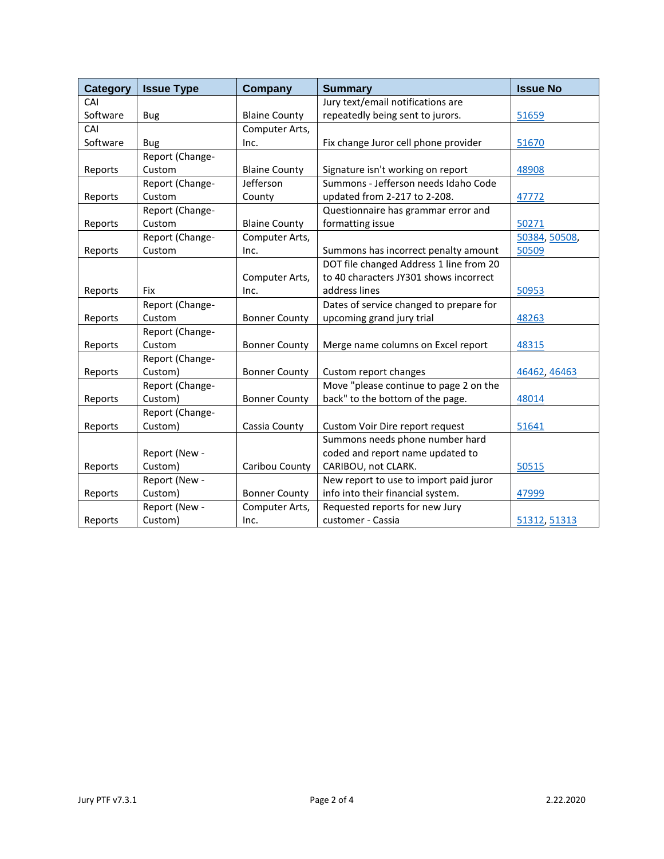<span id="page-1-2"></span><span id="page-1-1"></span><span id="page-1-0"></span>

| <b>Category</b> | <b>Issue Type</b> | Company              | <b>Summary</b>                          | <b>Issue No</b> |
|-----------------|-------------------|----------------------|-----------------------------------------|-----------------|
| CAI             |                   |                      | Jury text/email notifications are       |                 |
| Software        | <b>Bug</b>        | <b>Blaine County</b> | repeatedly being sent to jurors.        | 51659           |
| CAI             |                   | Computer Arts,       |                                         |                 |
| Software        | <b>Bug</b>        | Inc.                 | Fix change Juror cell phone provider    | 51670           |
|                 | Report (Change-   |                      |                                         |                 |
| Reports         | Custom            | <b>Blaine County</b> | Signature isn't working on report       | 48908           |
|                 | Report (Change-   | Jefferson            | Summons - Jefferson needs Idaho Code    |                 |
| Reports         | Custom            | County               | updated from 2-217 to 2-208.            | 47772           |
|                 | Report (Change-   |                      | Questionnaire has grammar error and     |                 |
| Reports         | Custom            | <b>Blaine County</b> | formatting issue                        | 50271           |
|                 | Report (Change-   | Computer Arts,       |                                         | 50384, 50508,   |
| Reports         | Custom            | Inc.                 | Summons has incorrect penalty amount    | 50509           |
|                 |                   |                      | DOT file changed Address 1 line from 20 |                 |
|                 |                   | Computer Arts,       | to 40 characters JY301 shows incorrect  |                 |
| Reports         | <b>Fix</b>        | Inc.                 | address lines                           | 50953           |
|                 | Report (Change-   |                      | Dates of service changed to prepare for |                 |
| Reports         | Custom            | <b>Bonner County</b> | upcoming grand jury trial               | 48263           |
|                 | Report (Change-   |                      |                                         |                 |
| Reports         | Custom            | <b>Bonner County</b> | Merge name columns on Excel report      | 48315           |
|                 | Report (Change-   |                      |                                         |                 |
| Reports         | Custom)           | <b>Bonner County</b> | Custom report changes                   | 46462, 46463    |
|                 | Report (Change-   |                      | Move "please continue to page 2 on the  |                 |
| Reports         | Custom)           | <b>Bonner County</b> | back" to the bottom of the page.        | 48014           |
|                 | Report (Change-   |                      |                                         |                 |
| Reports         | Custom)           | Cassia County        | Custom Voir Dire report request         | 51641           |
|                 |                   |                      | Summons needs phone number hard         |                 |
|                 | Report (New -     |                      | coded and report name updated to        |                 |
| Reports         | Custom)           | Caribou County       | CARIBOU, not CLARK.                     | 50515           |
|                 | Report (New -     |                      | New report to use to import paid juror  |                 |
| Reports         | Custom)           | <b>Bonner County</b> | info into their financial system.       | 47999           |
|                 | Report (New -     | Computer Arts,       | Requested reports for new Jury          |                 |
| Reports         | Custom)           | Inc.                 | customer - Cassia                       | 51312, 51313    |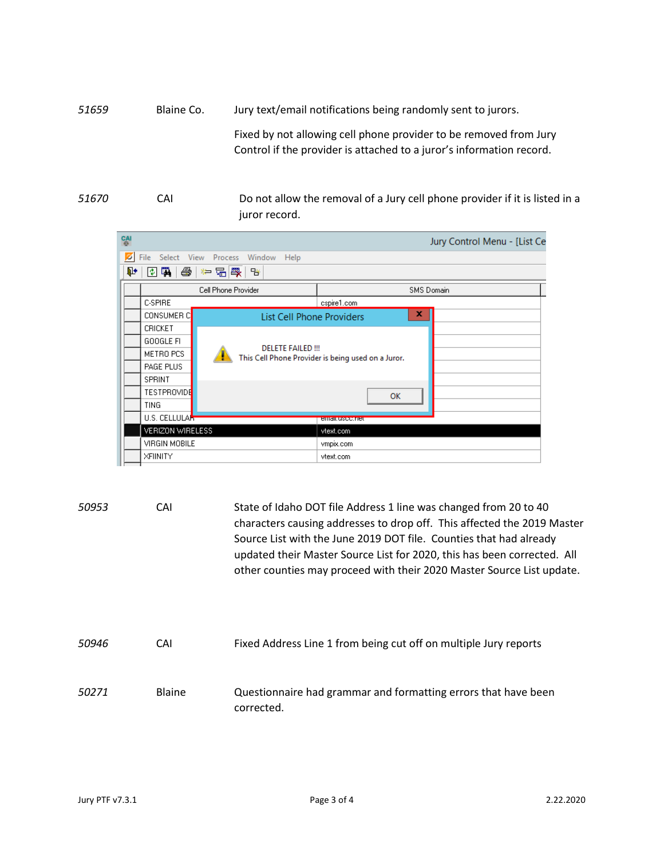<span id="page-2-0"></span>*51659* Blaine Co. Jury text/email notifications being randomly sent to jurors. Fixed by not allowing cell phone provider to be removed from Jury Control if the provider is attached to a juror's information record.

<span id="page-2-1"></span>*51670* CAI Do not allow the removal of a Jury cell phone provider if it is listed in a juror record.



<span id="page-2-4"></span><span id="page-2-3"></span><span id="page-2-2"></span>*50953* CAI State of Idaho DOT file Address 1 line was changed from 20 to 40 characters causing addresses to drop off. This affected the 2019 Master Source List with the June 2019 DOT file. Counties that had already updated their Master Source List for 2020, this has been corrected. All other counties may proceed with their 2020 Master Source List update. *50946* CAI Fixed Address Line 1 from being cut off on multiple Jury reports *50271* Blaine Questionnaire had grammar and formatting errors that have been corrected.